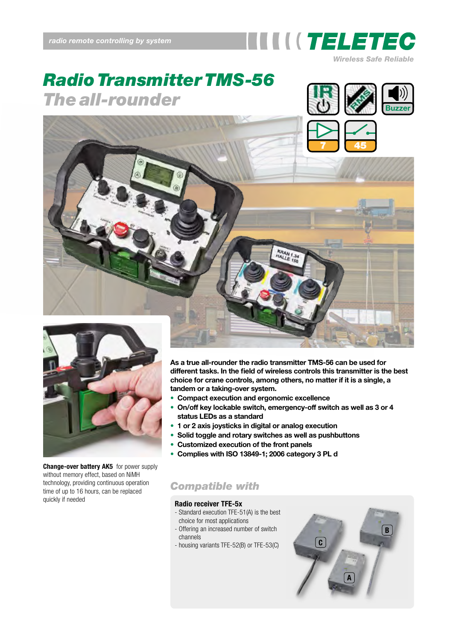

# *Radio Transmitter TMS-56* **The all-rounder Buzzer**







**Change-over battery AK5** for power supply without memory effect, based on NiMH technology, providing continuous operation time of up to 16 hours, can be replaced quickly if needed

**As a true all-rounder the radio transmitter TMS-56 can be used for different tasks. In the field of wireless controls this transmitter is the best choice for crane controls, among others, no matter if it is a single, a tandem or a taking-over system.**

- **Compact execution and ergonomic excellence**
- **On/off key lockable switch, emergency-off switch as well as 3 or 4 status LEDs as a standard**
- **1 or 2 axis joysticks in digital or analog execution**
- **Solid toggle and rotary switches as well as pushbuttons**
- **Customized execution of the front panels**
- **Complies with ISO 13849-1; 2006 category 3 PL d**

## *Compatible with*

#### **Radio receiver TFE-5x**

- Standard execution TFE-51(A) is the best choice for most applications
- Offering an increased number of switch channels
- housing variants TFE-52(B) or TFE-53(C)